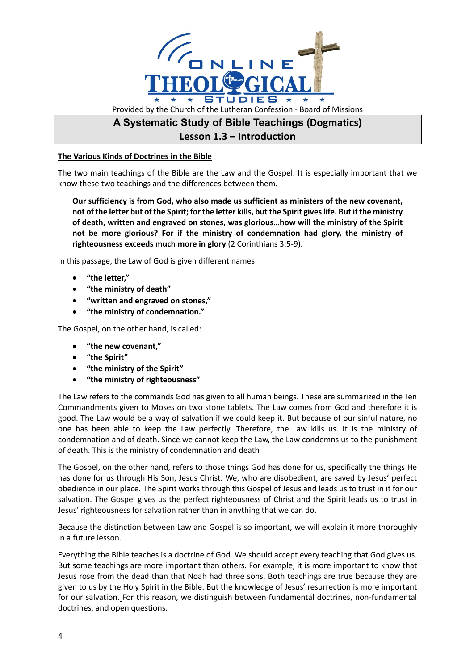

## **Lesson 1.3 – Introduction**

## **The Various Kinds of Doctrines in the Bible**

The two main teachings of the Bible are the Law and the Gospel. It is especially important that we know these two teachings and the differences between them.

**Our sufficiency is from God, who also made us sufficient as ministers of the new covenant, not of the letter but of the Spirit; for the letter kills, but the Spirit gives life. But if the ministry of death, written and engraved on stones, was glorious…how will the ministry of the Spirit not be more glorious? For if the ministry of condemnation had glory, the ministry of righteousness exceeds much more in glory** (2 Corinthians 3:5-9).

In this passage, the Law of God is given different names:

- **"the letter,"**
- **"the ministry of death"**
- **"written and engraved on stones,"**
- **"the ministry of condemnation."**

The Gospel, on the other hand, is called:

- **"the new covenant,"**
- **"the Spirit"**
- **"the ministry of the Spirit"**
- **"the ministry of righteousness"**

The Law refers to the commands God has given to all human beings. These are summarized in the Ten Commandments given to Moses on two stone tablets. The Law comes from God and therefore it is good. The Law would be a way of salvation if we could keep it. But because of our sinful nature, no one has been able to keep the Law perfectly. Therefore, the Law kills us. It is the ministry of condemnation and of death. Since we cannot keep the Law, the Law condemns us to the punishment of death. This is the ministry of condemnation and death

The Gospel, on the other hand, refers to those things God has done for us, specifically the things He has done for us through His Son, Jesus Christ. We, who are disobedient, are saved by Jesus' perfect obedience in our place. The Spirit works through this Gospel of Jesus and leads us to trust in it for our salvation. The Gospel gives us the perfect righteousness of Christ and the Spirit leads us to trust in Jesus' righteousness for salvation rather than in anything that we can do.

Because the distinction between Law and Gospel is so important, we will explain it more thoroughly in a future lesson.

Everything the Bible teaches is a doctrine of God. We should accept every teaching that God gives us. But some teachings are more important than others. For example, it is more important to know that Jesus rose from the dead than that Noah had three sons. Both teachings are true because they are given to us by the Holy Spirit in the Bible. But the knowledge of Jesus' resurrection is more important for our salvation. For this reason, we distinguish between fundamental doctrines, non-fundamental doctrines, and open questions.